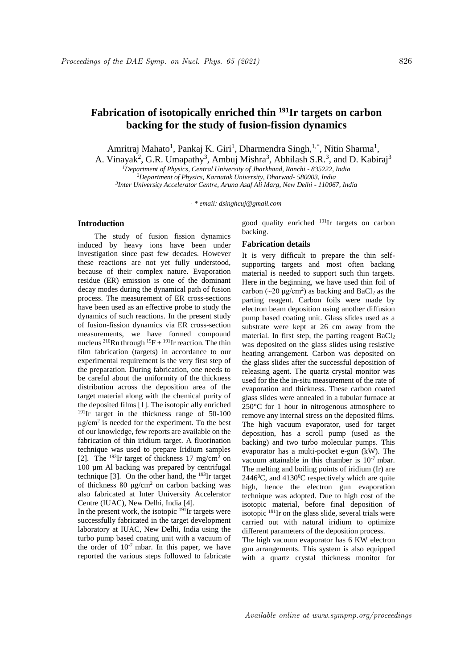# **Fabrication of isotopically enriched thin <sup>191</sup>Ir targets on carbon backing for the study of fusion-fission dynamics**

Amritraj Mahato<sup>1</sup>, Pankaj K. Giri<sup>1</sup>, Dharmendra Singh,<sup>1,\*</sup>, Nitin Sharma<sup>1</sup>,

A. Vinayak<sup>2</sup>, G.R. Umapathy<sup>3</sup>, Ambuj Mishra<sup>3</sup>, Abhilash S.R.<sup>3</sup>, and D. Kabiraj<sup>3</sup>

*<sup>1</sup>Department of Physics, Central University of Jharkhand, Ranchi - 835222, India*

*<sup>2</sup>Department of Physics, Karnatak University, Dharwad- 580003, India*

*3 Inter University Accelerator Centre, Aruna Asaf Ali Marg, New Delhi - 110067, India*

*. \* email: dsinghcuj@gmail.com*

# **Introduction**

The study of fusion fission dynamics induced by heavy ions have been under investigation since past few decades. However these reactions are not yet fully understood, because of their complex nature. Evaporation residue (ER) emission is one of the dominant decay modes during the dynamical path of fusion process. The measurement of ER cross-sections have been used as an effective probe to study the dynamics of such reactions. In the present study of fusion-fission dynamics via ER cross-section measurements, we have formed compound nucleus <sup>210</sup>Rn through <sup>19</sup>F + <sup>191</sup>Ir reaction. The thin film fabrication (targets) in accordance to our experimental requirement is the very first step of the preparation. During fabrication, one needs to be careful about the uniformity of the thickness distribution across the deposition area of the target material along with the chemical purity of the deposited films [1]. The isotopic ally enriched <sup>191</sup>Ir target in the thickness range of 50-100  $\mu$ g/cm<sup>2</sup> is needed for the experiment. To the best of our knowledge, few reports are available on the fabrication of thin iridium target. A fluorination technique was used to prepare Iridium samples [2]. The  $^{193}$ Ir target of thickness 17 mg/cm<sup>2</sup> on 100 µm Al backing was prepared by centrifugal technique [3]. On the other hand, the <sup>193</sup>Ir target of thickness 80  $\mu$ g/cm<sup>2</sup> on carbon backing was also fabricated at Inter University Accelerator Centre (IUAC), New Delhi, India [4].

In the present work, the isotopic  $191$ Ir targets were successfully fabricated in the target development laboratory at IUAC, New Delhi, India using the turbo pump based coating unit with a vacuum of the order of  $10^{-7}$  mbar. In this paper, we have reported the various steps followed to fabricate good quality enriched <sup>191</sup>Ir targets on carbon backing.

# **Fabrication details**

It is very difficult to prepare the thin selfsupporting targets and most often backing material is needed to support such thin targets. Here in the beginning, we have used thin foil of carbon ( $\sim$ 20  $\mu$ g/cm<sup>2</sup>) as backing and BaCl<sub>2</sub> as the parting reagent. Carbon foils were made by electron beam deposition using another diffusion pump based coating unit. Glass slides used as a substrate were kept at 26 cm away from the material. In first step, the parting reagent  $BaCl<sub>2</sub>$ was deposited on the glass slides using resistive heating arrangement. Carbon was deposited on the glass slides after the successful deposition of releasing agent. The quartz crystal monitor was used for the the in-situ measurement of the rate of evaporation and thickness. These carbon coated glass slides were annealed in a tubular furnace at 250°C for 1 hour in nitrogenous atmosphere to remove any internal stress on the deposited films. The high vacuum evaporator, used for target deposition, has a scroll pump (used as the backing) and two turbo molecular pumps. This evaporator has a multi-pocket e-gun (kW). The vacuum attainable in this chamber is  $10^{-7}$  mbar. The melting and boiling points of iridium (Ir) are  $2446^{\circ}$ C, and  $4130^{\circ}$ C respectively which are quite high, hence the electron gun evaporation technique was adopted. Due to high cost of the isotopic material, before final deposition of isotopic  $191$ Ir on the glass slide, several trials were carried out with natural iridium to optimize different parameters of the deposition process.

The high vacuum evaporator has 6 KW electron gun arrangements. This system is also equipped with a quartz crystal thickness monitor for